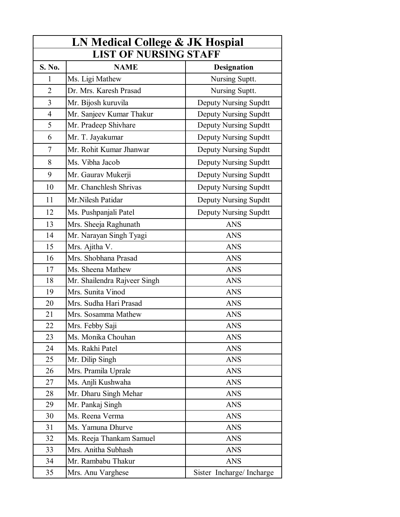| LN Medical College & JK Hospial |                              |                              |
|---------------------------------|------------------------------|------------------------------|
| <b>LIST OF NURSING STAFF</b>    |                              |                              |
| S. No.                          | <b>NAME</b>                  | <b>Designation</b>           |
| 1                               | Ms. Ligi Mathew              | Nursing Suptt.               |
| $\overline{2}$                  | Dr. Mrs. Karesh Prasad       | Nursing Suptt.               |
| $\overline{3}$                  | Mr. Bijosh kuruvila          | <b>Deputy Nursing Supdtt</b> |
| $\overline{4}$                  | Mr. Sanjeev Kumar Thakur     | <b>Deputy Nursing Supdtt</b> |
| 5                               | Mr. Pradeep Shivhare         | Deputy Nursing Supdtt        |
| 6                               | Mr. T. Jayakumar             | Deputy Nursing Supdtt        |
| 7                               | Mr. Rohit Kumar Jhanwar      | Deputy Nursing Supdtt        |
| 8                               | Ms. Vibha Jacob              | <b>Deputy Nursing Supdtt</b> |
| 9                               | Mr. Gaurav Mukerji           | Deputy Nursing Supdtt        |
| 10                              | Mr. Chanchlesh Shrivas       | <b>Deputy Nursing Supdtt</b> |
| 11                              | Mr.Nilesh Patidar            | Deputy Nursing Supdtt        |
| 12                              | Ms. Pushpanjali Patel        | <b>Deputy Nursing Supdtt</b> |
| 13                              | Mrs. Sheeja Raghunath        | <b>ANS</b>                   |
| 14                              | Mr. Narayan Singh Tyagi      | <b>ANS</b>                   |
| 15                              | Mrs. Ajitha V.               | <b>ANS</b>                   |
| 16                              | Mrs. Shobhana Prasad         | <b>ANS</b>                   |
| 17                              | Ms. Sheena Mathew            | <b>ANS</b>                   |
| 18                              | Mr. Shailendra Rajveer Singh | <b>ANS</b>                   |
| 19                              | Mrs. Sunita Vinod            | <b>ANS</b>                   |
| 20                              | Mrs. Sudha Hari Prasad       | <b>ANS</b>                   |
| 21                              | Mrs. Sosamma Mathew          | <b>ANS</b>                   |
| 22                              | Mrs. Febby Saji              | ANS                          |
| 23                              | Ms. Monika Chouhan           | <b>ANS</b>                   |
| 24                              | Ms. Rakhi Patel              | <b>ANS</b>                   |
| 25                              | Mr. Dilip Singh              | <b>ANS</b>                   |
| 26                              | Mrs. Pramila Uprale          | <b>ANS</b>                   |
| 27                              | Ms. Anjli Kushwaha           | <b>ANS</b>                   |
| 28                              | Mr. Dharu Singh Mehar        | <b>ANS</b>                   |
| 29                              | Mr. Pankaj Singh             | <b>ANS</b>                   |
| 30                              | Ms. Reena Verma              | <b>ANS</b>                   |
| 31                              | Ms. Yamuna Dhurve            | <b>ANS</b>                   |
| 32                              | Ms. Reeja Thankam Samuel     | <b>ANS</b>                   |
| 33                              | Mrs. Anitha Subhash          | <b>ANS</b>                   |
| 34                              | Mr. Rambabu Thakur           | <b>ANS</b>                   |
| 35                              | Mrs. Anu Varghese            | Sister Incharge/Incharge     |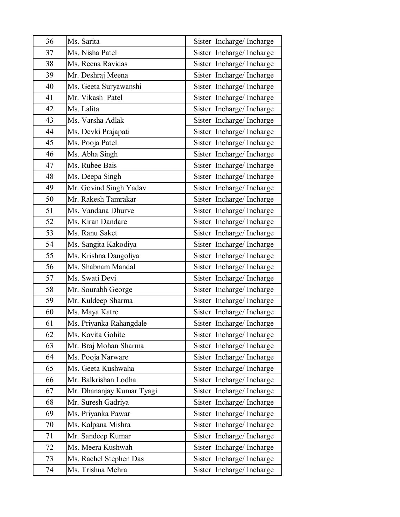| 36 | Ms. Sarita                | Sister Incharge/Incharge |
|----|---------------------------|--------------------------|
| 37 | Ms. Nisha Patel           | Sister Incharge/Incharge |
| 38 | Ms. Reena Ravidas         | Sister Incharge/Incharge |
| 39 | Mr. Deshraj Meena         | Sister Incharge/Incharge |
| 40 | Ms. Geeta Suryawanshi     | Sister Incharge/Incharge |
| 41 | Mr. Vikash Patel          | Sister Incharge/Incharge |
| 42 | Ms. Lalita                | Sister Incharge/Incharge |
| 43 | Ms. Varsha Adlak          | Sister Incharge/Incharge |
| 44 | Ms. Devki Prajapati       | Sister Incharge/Incharge |
| 45 | Ms. Pooja Patel           | Sister Incharge/Incharge |
| 46 | Ms. Abha Singh            | Sister Incharge/Incharge |
| 47 | Ms. Rubee Bais            | Sister Incharge/Incharge |
| 48 | Ms. Deepa Singh           | Sister Incharge/Incharge |
| 49 | Mr. Govind Singh Yadav    | Sister Incharge/Incharge |
| 50 | Mr. Rakesh Tamrakar       | Sister Incharge/Incharge |
| 51 | Ms. Vandana Dhurve        | Sister Incharge/Incharge |
| 52 | Ms. Kiran Dandare         | Sister Incharge/Incharge |
| 53 | Ms. Ranu Saket            | Sister Incharge/Incharge |
| 54 | Ms. Sangita Kakodiya      | Sister Incharge/Incharge |
| 55 | Ms. Krishna Dangoliya     | Sister Incharge/Incharge |
| 56 | Ms. Shabnam Mandal        | Sister Incharge/Incharge |
| 57 | Ms. Swati Devi            | Sister Incharge/Incharge |
| 58 | Mr. Sourabh George        | Sister Incharge/Incharge |
| 59 | Mr. Kuldeep Sharma        | Sister Incharge/Incharge |
| 60 | Ms. Maya Katre            | Sister Incharge/Incharge |
| 61 | Ms. Priyanka Rahangdale   | Sister Incharge/Incharge |
| 62 | Ms. Kavita Gohite         | Sister Incharge/Incharge |
| 63 | Mr. Braj Mohan Sharma     | Sister Incharge/Incharge |
| 64 | Ms. Pooja Narware         | Sister Incharge/Incharge |
| 65 | Ms. Geeta Kushwaha        | Sister Incharge/Incharge |
| 66 | Mr. Balkrishan Lodha      | Sister Incharge/Incharge |
| 67 | Mr. Dhananjay Kumar Tyagi | Sister Incharge/Incharge |
| 68 | Mr. Suresh Gadriya        | Sister Incharge/Incharge |
| 69 | Ms. Priyanka Pawar        | Sister Incharge/Incharge |
| 70 | Ms. Kalpana Mishra        | Sister Incharge/Incharge |
| 71 | Mr. Sandeep Kumar         | Sister Incharge/Incharge |
| 72 | Ms. Meera Kushwah         | Sister Incharge/Incharge |
| 73 | Ms. Rachel Stephen Das    | Sister Incharge/Incharge |
| 74 | Ms. Trishna Mehra         | Sister Incharge/Incharge |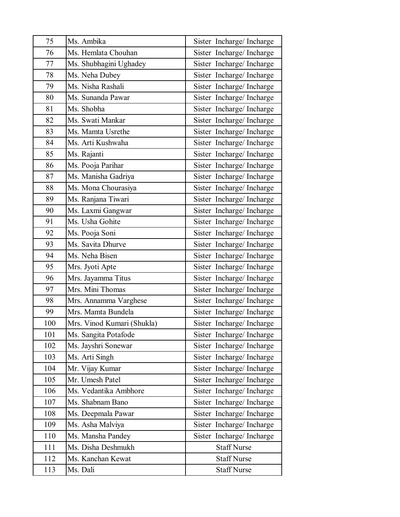| 75  | Ms. Ambika                 | Sister Incharge/Incharge |
|-----|----------------------------|--------------------------|
| 76  | Ms. Hemlata Chouhan        | Sister Incharge/Incharge |
| 77  | Ms. Shubhagini Ughadey     | Sister Incharge/Incharge |
| 78  | Ms. Neha Dubey             | Sister Incharge/Incharge |
| 79  | Ms. Nisha Rashali          | Sister Incharge/Incharge |
| 80  | Ms. Sunanda Pawar          | Sister Incharge/Incharge |
| 81  | Ms. Shobha                 | Sister Incharge/Incharge |
| 82  | Ms. Swati Mankar           | Sister Incharge/Incharge |
| 83  | Ms. Mamta Usrethe          | Sister Incharge/Incharge |
| 84  | Ms. Arti Kushwaha          | Sister Incharge/Incharge |
| 85  | Ms. Rajanti                | Sister Incharge/Incharge |
| 86  | Ms. Pooja Parihar          | Sister Incharge/Incharge |
| 87  | Ms. Manisha Gadriya        | Sister Incharge/Incharge |
| 88  | Ms. Mona Chourasiya        | Sister Incharge/Incharge |
| 89  | Ms. Ranjana Tiwari         | Sister Incharge/Incharge |
| 90  | Ms. Laxmi Gangwar          | Sister Incharge/Incharge |
| 91  | Ms. Usha Gohite            | Sister Incharge/Incharge |
| 92  | Ms. Pooja Soni             | Sister Incharge/Incharge |
| 93  | Ms. Savita Dhurve          | Sister Incharge/Incharge |
| 94  | Ms. Neha Bisen             | Sister Incharge/Incharge |
| 95  | Mrs. Jyoti Apte            | Sister Incharge/Incharge |
| 96  | Mrs. Jayamma Titus         | Sister Incharge/Incharge |
| 97  | Mrs. Mini Thomas           | Sister Incharge/Incharge |
| 98  | Mrs. Annamma Varghese      | Sister Incharge/Incharge |
| 99  | Mrs. Mamta Bundela         | Sister Incharge/Incharge |
| 100 | Mrs. Vinod Kumari (Shukla) | Sister Incharge/Incharge |
| 101 | Ms. Sangita Potafode       | Sister Incharge/Incharge |
| 102 | Ms. Jayshri Sonewar        | Sister Incharge/Incharge |
| 103 | Ms. Arti Singh             | Sister Incharge/Incharge |
| 104 | Mr. Vijay Kumar            | Sister Incharge/Incharge |
| 105 | Mr. Umesh Patel            | Sister Incharge/Incharge |
| 106 | Ms. Vedantika Ambhore      | Sister Incharge/Incharge |
| 107 | Ms. Shabnam Bano           | Sister Incharge/Incharge |
| 108 | Ms. Deepmala Pawar         | Sister Incharge/Incharge |
| 109 | Ms. Asha Malviya           | Sister Incharge/Incharge |
| 110 | Ms. Mansha Pandey          | Sister Incharge/Incharge |
| 111 | Ms. Disha Deshmukh         | <b>Staff Nurse</b>       |
| 112 | Ms. Kanchan Kewat          | <b>Staff Nurse</b>       |
| 113 | Ms. Dali                   | <b>Staff Nurse</b>       |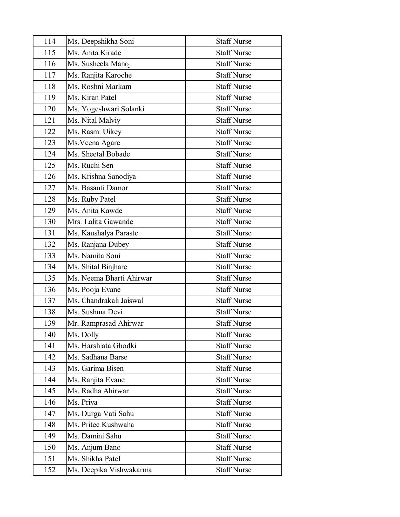| 114 | Ms. Deepshikha Soni      | <b>Staff Nurse</b> |
|-----|--------------------------|--------------------|
| 115 | Ms. Anita Kirade         | <b>Staff Nurse</b> |
| 116 | Ms. Susheela Manoj       | <b>Staff Nurse</b> |
| 117 | Ms. Ranjita Karoche      | <b>Staff Nurse</b> |
| 118 | Ms. Roshni Markam        | <b>Staff Nurse</b> |
| 119 | Ms. Kiran Patel          | <b>Staff Nurse</b> |
| 120 | Ms. Yogeshwari Solanki   | <b>Staff Nurse</b> |
| 121 | Ms. Nital Malviy         | <b>Staff Nurse</b> |
| 122 | Ms. Rasmi Uikey          | <b>Staff Nurse</b> |
| 123 | Ms. Veena Agare          | <b>Staff Nurse</b> |
| 124 | Ms. Sheetal Bobade       | <b>Staff Nurse</b> |
| 125 | Ms. Ruchi Sen            | <b>Staff Nurse</b> |
| 126 | Ms. Krishna Sanodiya     | <b>Staff Nurse</b> |
| 127 | Ms. Basanti Damor        | <b>Staff Nurse</b> |
| 128 | Ms. Ruby Patel           | <b>Staff Nurse</b> |
| 129 | Ms. Anita Kawde          | <b>Staff Nurse</b> |
| 130 | Mrs. Lalita Gawande      | <b>Staff Nurse</b> |
| 131 | Ms. Kaushalya Paraste    | <b>Staff Nurse</b> |
| 132 | Ms. Ranjana Dubey        | <b>Staff Nurse</b> |
| 133 | Ms. Namita Soni          | <b>Staff Nurse</b> |
| 134 | Ms. Shital Binjhare      | <b>Staff Nurse</b> |
| 135 | Ms. Neema Bharti Ahirwar | <b>Staff Nurse</b> |
| 136 | Ms. Pooja Evane          | <b>Staff Nurse</b> |
| 137 | Ms. Chandrakali Jaiswal  | <b>Staff Nurse</b> |
| 138 | Ms. Sushma Devi          | <b>Staff Nurse</b> |
| 139 | Mr. Ramprasad Ahirwar    | <b>Staff Nurse</b> |
| 140 | Ms. Dolly                | <b>Staff Nurse</b> |
| 141 | Ms. Harshlata Ghodki     | <b>Staff Nurse</b> |
| 142 | Ms. Sadhana Barse        | <b>Staff Nurse</b> |
| 143 | Ms. Garima Bisen         | <b>Staff Nurse</b> |
| 144 | Ms. Ranjita Evane        | <b>Staff Nurse</b> |
| 145 | Ms. Radha Ahirwar        | <b>Staff Nurse</b> |
| 146 | Ms. Priya                | <b>Staff Nurse</b> |
| 147 | Ms. Durga Vati Sahu      | <b>Staff Nurse</b> |
| 148 | Ms. Pritee Kushwaha      | <b>Staff Nurse</b> |
| 149 | Ms. Damini Sahu          | <b>Staff Nurse</b> |
| 150 | Ms. Anjum Bano           | <b>Staff Nurse</b> |
| 151 | Ms. Shikha Patel         | <b>Staff Nurse</b> |
| 152 | Ms. Deepika Vishwakarma  | <b>Staff Nurse</b> |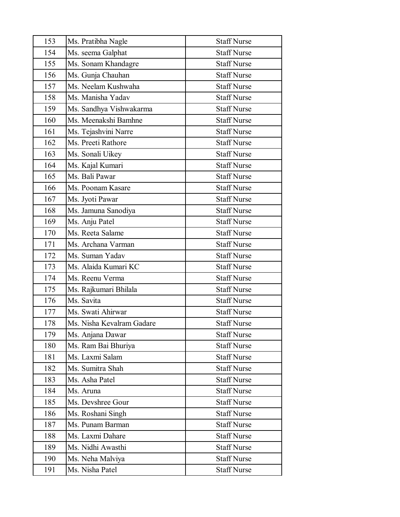| 153 | Ms. Pratibha Nagle        | <b>Staff Nurse</b> |
|-----|---------------------------|--------------------|
| 154 | Ms. seema Galphat         | <b>Staff Nurse</b> |
| 155 | Ms. Sonam Khandagre       | <b>Staff Nurse</b> |
| 156 | Ms. Gunja Chauhan         | <b>Staff Nurse</b> |
| 157 | Ms. Neelam Kushwaha       | <b>Staff Nurse</b> |
| 158 | Ms. Manisha Yadav         | <b>Staff Nurse</b> |
| 159 | Ms. Sandhya Vishwakarma   | <b>Staff Nurse</b> |
| 160 | Ms. Meenakshi Bamhne      | <b>Staff Nurse</b> |
| 161 | Ms. Tejashvini Narre      | <b>Staff Nurse</b> |
| 162 | Ms. Preeti Rathore        | <b>Staff Nurse</b> |
| 163 | Ms. Sonali Uikey          | <b>Staff Nurse</b> |
| 164 | Ms. Kajal Kumari          | <b>Staff Nurse</b> |
| 165 | Ms. Bali Pawar            | <b>Staff Nurse</b> |
| 166 | Ms. Poonam Kasare         | <b>Staff Nurse</b> |
| 167 | Ms. Jyoti Pawar           | <b>Staff Nurse</b> |
| 168 | Ms. Jamuna Sanodiya       | <b>Staff Nurse</b> |
| 169 | Ms. Anju Patel            | <b>Staff Nurse</b> |
| 170 | Ms. Reeta Salame          | <b>Staff Nurse</b> |
| 171 | Ms. Archana Varman        | <b>Staff Nurse</b> |
| 172 | Ms. Suman Yadav           | <b>Staff Nurse</b> |
| 173 | Ms. Alaida Kumari KC      | <b>Staff Nurse</b> |
| 174 | Ms. Reenu Verma           | <b>Staff Nurse</b> |
| 175 | Ms. Rajkumari Bhilala     | <b>Staff Nurse</b> |
| 176 | Ms. Savita                | <b>Staff Nurse</b> |
| 177 | Ms. Swati Ahirwar         | <b>Staff Nurse</b> |
| 178 | Ms. Nisha Kevalram Gadare | <b>Staff Nurse</b> |
| 179 | Ms. Anjana Dawar          | <b>Staff Nurse</b> |
| 180 | Ms. Ram Bai Bhuriya       | <b>Staff Nurse</b> |
| 181 | Ms. Laxmi Salam           | <b>Staff Nurse</b> |
| 182 | Ms. Sumitra Shah          | <b>Staff Nurse</b> |
| 183 | Ms. Asha Patel            | <b>Staff Nurse</b> |
| 184 | Ms. Aruna                 | <b>Staff Nurse</b> |
| 185 | Ms. Devshree Gour         | <b>Staff Nurse</b> |
| 186 | Ms. Roshani Singh         | <b>Staff Nurse</b> |
| 187 | Ms. Punam Barman          | <b>Staff Nurse</b> |
| 188 | Ms. Laxmi Dahare          | <b>Staff Nurse</b> |
| 189 | Ms. Nidhi Awasthi         | <b>Staff Nurse</b> |
| 190 | Ms. Neha Malviya          | <b>Staff Nurse</b> |
| 191 | Ms. Nisha Patel           | <b>Staff Nurse</b> |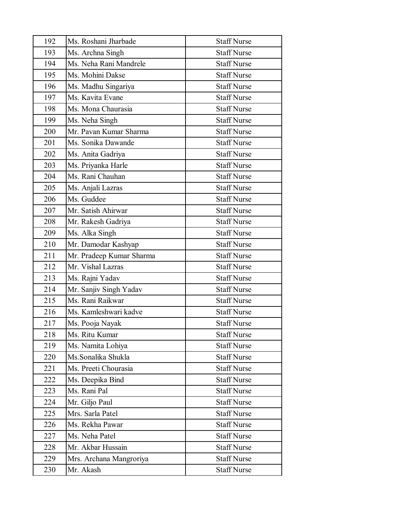| 192 | Ms. Roshani Jharbade     | <b>Staff Nurse</b> |
|-----|--------------------------|--------------------|
| 193 | Ms. Archna Singh         | <b>Staff Nurse</b> |
| 194 | Ms. Neha Rani Mandrele   | <b>Staff Nurse</b> |
| 195 | Ms. Mohini Dakse         | <b>Staff Nurse</b> |
| 196 | Ms. Madhu Singariya      | <b>Staff Nurse</b> |
| 197 | Ms. Kavita Evane         | <b>Staff Nurse</b> |
| 198 | Ms. Mona Chaurasia       | <b>Staff Nurse</b> |
| 199 | Ms. Neha Singh           | <b>Staff Nurse</b> |
| 200 | Mr. Pavan Kumar Sharma   | <b>Staff Nurse</b> |
| 201 | Ms. Sonika Dawande       | <b>Staff Nurse</b> |
| 202 | Ms. Anita Gadriya        | <b>Staff Nurse</b> |
| 203 | Ms. Priyanka Harle       | <b>Staff Nurse</b> |
| 204 | Ms. Rani Chauhan         | <b>Staff Nurse</b> |
| 205 | Ms. Anjali Lazras        | <b>Staff Nurse</b> |
| 206 | Ms. Guddee               | <b>Staff Nurse</b> |
| 207 | Mr. Satish Ahirwar       | <b>Staff Nurse</b> |
| 208 | Mr. Rakesh Gadriya       | <b>Staff Nurse</b> |
| 209 | Ms. Alka Singh           | <b>Staff Nurse</b> |
| 210 | Mr. Damodar Kashyap      | <b>Staff Nurse</b> |
| 211 | Mr. Pradeep Kumar Sharma | <b>Staff Nurse</b> |
| 212 | Mr. Vishal Lazras        | <b>Staff Nurse</b> |
| 213 | Ms. Rajni Yadav          | <b>Staff Nurse</b> |
| 214 | Mr. Sanjiv Singh Yadav   | <b>Staff Nurse</b> |
| 215 | Ms. Rani Raikwar         | <b>Staff Nurse</b> |
| 216 | Ms. Kamleshwari kadve    | <b>Staff Nurse</b> |
| 217 | Ms. Pooja Nayak          | <b>Staff Nurse</b> |
| 218 | Ms. Ritu Kumar           | <b>Staff Nurse</b> |
| 219 | Ms. Namita Lohiya        | <b>Staff Nurse</b> |
| 220 | Ms.Sonalika Shukla       | <b>Staff Nurse</b> |
| 221 | Ms. Preeti Chourasia     | <b>Staff Nurse</b> |
| 222 | Ms. Deepika Bind         | <b>Staff Nurse</b> |
| 223 | Ms. Rani Pal             | <b>Staff Nurse</b> |
| 224 | Mr. Giljo Paul           | <b>Staff Nurse</b> |
| 225 | Mrs. Sarla Patel         | <b>Staff Nurse</b> |
| 226 | Ms. Rekha Pawar          | <b>Staff Nurse</b> |
| 227 | Ms. Neha Patel           | <b>Staff Nurse</b> |
| 228 | Mr. Akbar Hussain        | <b>Staff Nurse</b> |
| 229 | Mrs. Archana Mangroriya  | <b>Staff Nurse</b> |
| 230 | Mr. Akash                | <b>Staff Nurse</b> |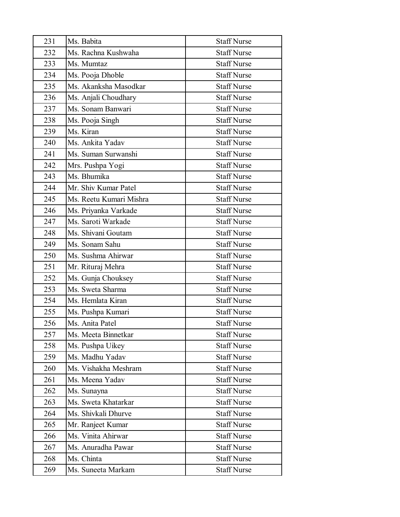| 231 | Ms. Babita              | <b>Staff Nurse</b> |
|-----|-------------------------|--------------------|
| 232 | Ms. Rachna Kushwaha     | <b>Staff Nurse</b> |
| 233 | Ms. Mumtaz              | <b>Staff Nurse</b> |
| 234 | Ms. Pooja Dhoble        | <b>Staff Nurse</b> |
| 235 | Ms. Akanksha Masodkar   | <b>Staff Nurse</b> |
| 236 | Ms. Anjali Choudhary    | <b>Staff Nurse</b> |
| 237 | Ms. Sonam Banwari       | <b>Staff Nurse</b> |
| 238 | Ms. Pooja Singh         | <b>Staff Nurse</b> |
| 239 | Ms. Kiran               | <b>Staff Nurse</b> |
| 240 | Ms. Ankita Yadav        | <b>Staff Nurse</b> |
| 241 | Ms. Suman Surwanshi     | <b>Staff Nurse</b> |
| 242 | Mrs. Pushpa Yogi        | <b>Staff Nurse</b> |
| 243 | Ms. Bhumika             | <b>Staff Nurse</b> |
| 244 | Mr. Shiv Kumar Patel    | <b>Staff Nurse</b> |
| 245 | Ms. Reetu Kumari Mishra | <b>Staff Nurse</b> |
| 246 | Ms. Priyanka Varkade    | <b>Staff Nurse</b> |
| 247 | Ms. Saroti Warkade      | <b>Staff Nurse</b> |
| 248 | Ms. Shivani Goutam      | <b>Staff Nurse</b> |
| 249 | Ms. Sonam Sahu          | <b>Staff Nurse</b> |
| 250 | Ms. Sushma Ahirwar      | <b>Staff Nurse</b> |
| 251 | Mr. Rituraj Mehra       | <b>Staff Nurse</b> |
| 252 | Ms. Gunja Chouksey      | <b>Staff Nurse</b> |
| 253 | Ms. Sweta Sharma        | <b>Staff Nurse</b> |
| 254 | Ms. Hemlata Kiran       | <b>Staff Nurse</b> |
| 255 | Ms. Pushpa Kumari       | <b>Staff Nurse</b> |
| 256 | Ms. Anita Patel         | <b>Staff Nurse</b> |
| 257 | Ms. Meeta Binnetkar     | <b>Staff Nurse</b> |
| 258 | Ms. Pushpa Uikey        | <b>Staff Nurse</b> |
| 259 | Ms. Madhu Yadav         | <b>Staff Nurse</b> |
| 260 | Ms. Vishakha Meshram    | <b>Staff Nurse</b> |
| 261 | Ms. Meena Yadav         | <b>Staff Nurse</b> |
| 262 | Ms. Sunayna             | <b>Staff Nurse</b> |
| 263 | Ms. Sweta Khatarkar     | <b>Staff Nurse</b> |
| 264 | Ms. Shivkali Dhurve     | <b>Staff Nurse</b> |
| 265 | Mr. Ranjeet Kumar       | <b>Staff Nurse</b> |
| 266 | Ms. Vinita Ahirwar      | <b>Staff Nurse</b> |
| 267 | Ms. Anuradha Pawar      | <b>Staff Nurse</b> |
| 268 | Ms. Chinta              | <b>Staff Nurse</b> |
| 269 | Ms. Suneeta Markam      | <b>Staff Nurse</b> |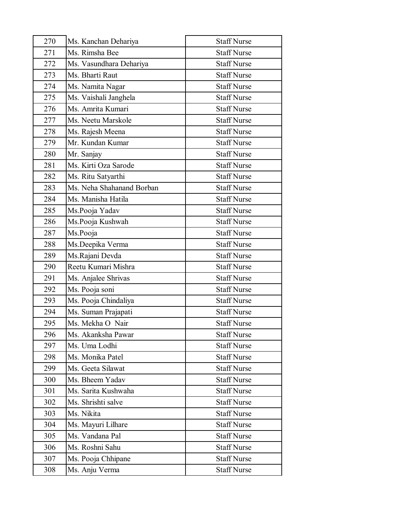| 270 | Ms. Kanchan Dehariya      | <b>Staff Nurse</b> |
|-----|---------------------------|--------------------|
| 271 | Ms. Rimsha Bee            | <b>Staff Nurse</b> |
| 272 | Ms. Vasundhara Dehariya   | <b>Staff Nurse</b> |
| 273 | Ms. Bharti Raut           | <b>Staff Nurse</b> |
| 274 | Ms. Namita Nagar          | <b>Staff Nurse</b> |
| 275 | Ms. Vaishali Janghela     | <b>Staff Nurse</b> |
| 276 | Ms. Amrita Kumari         | <b>Staff Nurse</b> |
| 277 | Ms. Neetu Marskole        | <b>Staff Nurse</b> |
| 278 | Ms. Rajesh Meena          | <b>Staff Nurse</b> |
| 279 | Mr. Kundan Kumar          | <b>Staff Nurse</b> |
| 280 | Mr. Sanjay                | <b>Staff Nurse</b> |
| 281 | Ms. Kirti Oza Sarode      | <b>Staff Nurse</b> |
| 282 | Ms. Ritu Satyarthi        | <b>Staff Nurse</b> |
| 283 | Ms. Neha Shahanand Borban | <b>Staff Nurse</b> |
| 284 | Ms. Manisha Hatila        | <b>Staff Nurse</b> |
| 285 | Ms.Pooja Yadav            | <b>Staff Nurse</b> |
| 286 | Ms.Pooja Kushwah          | <b>Staff Nurse</b> |
| 287 | Ms.Pooja                  | <b>Staff Nurse</b> |
| 288 | Ms.Deepika Verma          | <b>Staff Nurse</b> |
| 289 | Ms.Rajani Devda           | <b>Staff Nurse</b> |
| 290 | Reetu Kumari Mishra       | <b>Staff Nurse</b> |
| 291 | Ms. Anjalee Shrivas       | <b>Staff Nurse</b> |
| 292 | Ms. Pooja soni            | <b>Staff Nurse</b> |
| 293 | Ms. Pooja Chindaliya      | <b>Staff Nurse</b> |
| 294 | Ms. Suman Prajapati       | <b>Staff Nurse</b> |
| 295 | Ms. Mekha O Nair          | <b>Staff Nurse</b> |
| 296 | Ms. Akanksha Pawar        | <b>Staff Nurse</b> |
| 297 | Ms. Uma Lodhi             | <b>Staff Nurse</b> |
| 298 | Ms. Monika Patel          | <b>Staff Nurse</b> |
| 299 | Ms. Geeta Silawat         | <b>Staff Nurse</b> |
| 300 | Ms. Bheem Yadav           | <b>Staff Nurse</b> |
| 301 | Ms. Sarita Kushwaha       | <b>Staff Nurse</b> |
| 302 | Ms. Shrishti salve        | <b>Staff Nurse</b> |
| 303 | Ms. Nikita                | <b>Staff Nurse</b> |
| 304 | Ms. Mayuri Lilhare        | <b>Staff Nurse</b> |
| 305 | Ms. Vandana Pal           | <b>Staff Nurse</b> |
| 306 | Ms. Roshni Sahu           | <b>Staff Nurse</b> |
| 307 | Ms. Pooja Chhipane        | <b>Staff Nurse</b> |
| 308 | Ms. Anju Verma            | <b>Staff Nurse</b> |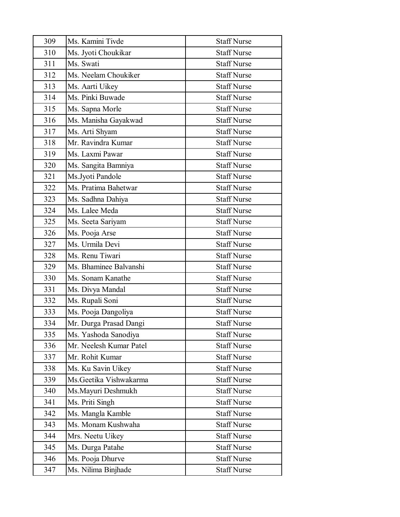| 309 | Ms. Kamini Tivde        | <b>Staff Nurse</b> |
|-----|-------------------------|--------------------|
| 310 | Ms. Jyoti Choukikar     | <b>Staff Nurse</b> |
| 311 | Ms. Swati               | <b>Staff Nurse</b> |
| 312 | Ms. Neelam Choukiker    | <b>Staff Nurse</b> |
| 313 | Ms. Aarti Uikey         | <b>Staff Nurse</b> |
| 314 | Ms. Pinki Buwade        | <b>Staff Nurse</b> |
| 315 | Ms. Sapna Morle         | <b>Staff Nurse</b> |
| 316 | Ms. Manisha Gayakwad    | <b>Staff Nurse</b> |
| 317 | Ms. Arti Shyam          | <b>Staff Nurse</b> |
| 318 | Mr. Ravindra Kumar      | <b>Staff Nurse</b> |
| 319 | Ms. Laxmi Pawar         | <b>Staff Nurse</b> |
| 320 | Ms. Sangita Bamniya     | <b>Staff Nurse</b> |
| 321 | Ms.Jyoti Pandole        | <b>Staff Nurse</b> |
| 322 | Ms. Pratima Bahetwar    | <b>Staff Nurse</b> |
| 323 | Ms. Sadhna Dahiya       | <b>Staff Nurse</b> |
| 324 | Ms. Lalee Meda          | <b>Staff Nurse</b> |
| 325 | Ms. Seeta Sariyam       | <b>Staff Nurse</b> |
| 326 | Ms. Pooja Arse          | <b>Staff Nurse</b> |
| 327 | Ms. Urmila Devi         | <b>Staff Nurse</b> |
| 328 | Ms. Renu Tiwari         | <b>Staff Nurse</b> |
| 329 | Ms. Bhaminee Balvanshi  | <b>Staff Nurse</b> |
| 330 | Ms. Sonam Kanathe       | <b>Staff Nurse</b> |
| 331 | Ms. Divya Mandal        | <b>Staff Nurse</b> |
| 332 | Ms. Rupali Soni         | <b>Staff Nurse</b> |
| 333 | Ms. Pooja Dangoliya     | <b>Staff Nurse</b> |
| 334 | Mr. Durga Prasad Dangi  | <b>Staff Nurse</b> |
| 335 | Ms. Yashoda Sanodiya    | <b>Staff Nurse</b> |
| 336 | Mr. Neelesh Kumar Patel | <b>Staff Nurse</b> |
| 337 | Mr. Rohit Kumar         | <b>Staff Nurse</b> |
| 338 | Ms. Ku Savin Uikey      | <b>Staff Nurse</b> |
| 339 | Ms. Geetika Vishwakarma | <b>Staff Nurse</b> |
| 340 | Ms.Mayuri Deshmukh      | <b>Staff Nurse</b> |
| 341 | Ms. Priti Singh         | <b>Staff Nurse</b> |
| 342 | Ms. Mangla Kamble       | <b>Staff Nurse</b> |
| 343 | Ms. Monam Kushwaha      | <b>Staff Nurse</b> |
| 344 | Mrs. Neetu Uikey        | <b>Staff Nurse</b> |
| 345 | Ms. Durga Patahe        | <b>Staff Nurse</b> |
| 346 | Ms. Pooja Dhurve        | <b>Staff Nurse</b> |
| 347 | Ms. Nilima Binjhade     | <b>Staff Nurse</b> |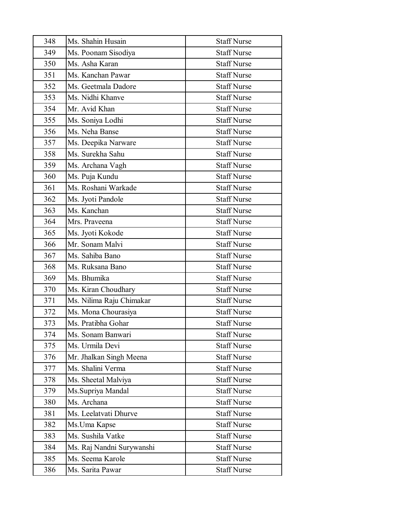| 348 | Ms. Shahin Husain         | <b>Staff Nurse</b> |
|-----|---------------------------|--------------------|
| 349 | Ms. Poonam Sisodiya       | <b>Staff Nurse</b> |
| 350 | Ms. Asha Karan            | <b>Staff Nurse</b> |
| 351 | Ms. Kanchan Pawar         | <b>Staff Nurse</b> |
| 352 | Ms. Geetmala Dadore       | <b>Staff Nurse</b> |
| 353 | Ms. Nidhi Khanve          | <b>Staff Nurse</b> |
| 354 | Mr. Avid Khan             | <b>Staff Nurse</b> |
| 355 | Ms. Soniya Lodhi          | <b>Staff Nurse</b> |
| 356 | Ms. Neha Banse            | <b>Staff Nurse</b> |
| 357 | Ms. Deepika Narware       | <b>Staff Nurse</b> |
| 358 | Ms. Surekha Sahu          | <b>Staff Nurse</b> |
| 359 | Ms. Archana Vagh          | <b>Staff Nurse</b> |
| 360 | Ms. Puja Kundu            | <b>Staff Nurse</b> |
| 361 | Ms. Roshani Warkade       | <b>Staff Nurse</b> |
| 362 | Ms. Jyoti Pandole         | <b>Staff Nurse</b> |
| 363 | Ms. Kanchan               | <b>Staff Nurse</b> |
| 364 | Mrs. Praveena             | <b>Staff Nurse</b> |
| 365 | Ms. Jyoti Kokode          | <b>Staff Nurse</b> |
| 366 | Mr. Sonam Malvi           | <b>Staff Nurse</b> |
| 367 | Ms. Sahiba Bano           | <b>Staff Nurse</b> |
| 368 | Ms. Ruksana Bano          | <b>Staff Nurse</b> |
| 369 | Ms. Bhumika               | <b>Staff Nurse</b> |
| 370 | Ms. Kiran Choudhary       | <b>Staff Nurse</b> |
| 371 | Ms. Nilima Raju Chimakar  | <b>Staff Nurse</b> |
| 372 | Ms. Mona Chourasiya       | <b>Staff Nurse</b> |
| 373 | Ms. Pratibha Gohar        | <b>Staff Nurse</b> |
| 374 | Ms. Sonam Banwari         | <b>Staff Nurse</b> |
| 375 | Ms. Urmila Devi           | <b>Staff Nurse</b> |
| 376 | Mr. Jhalkan Singh Meena   | <b>Staff Nurse</b> |
| 377 | Ms. Shalini Verma         | <b>Staff Nurse</b> |
| 378 | Ms. Sheetal Malviya       | <b>Staff Nurse</b> |
| 379 | Ms.Supriya Mandal         | <b>Staff Nurse</b> |
| 380 | Ms. Archana               | <b>Staff Nurse</b> |
| 381 | Ms. Leelatvati Dhurve     | <b>Staff Nurse</b> |
| 382 | Ms. Uma Kapse             | <b>Staff Nurse</b> |
| 383 | Ms. Sushila Vatke         | <b>Staff Nurse</b> |
| 384 | Ms. Raj Nandni Surywanshi | <b>Staff Nurse</b> |
| 385 | Ms. Seema Karole          | <b>Staff Nurse</b> |
| 386 | Ms. Sarita Pawar          | <b>Staff Nurse</b> |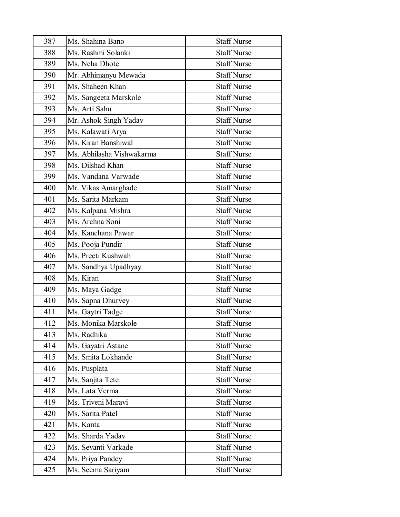| 387 | Ms. Shahina Bano          | <b>Staff Nurse</b> |
|-----|---------------------------|--------------------|
| 388 | Ms. Rashmi Solanki        | <b>Staff Nurse</b> |
| 389 | Ms. Neha Dhote            | <b>Staff Nurse</b> |
| 390 | Mr. Abhimanyu Mewada      | <b>Staff Nurse</b> |
| 391 | Ms. Shaheen Khan          | <b>Staff Nurse</b> |
| 392 | Ms. Sangeeta Marskole     | <b>Staff Nurse</b> |
| 393 | Ms. Arti Sahu             | <b>Staff Nurse</b> |
| 394 | Mr. Ashok Singh Yadav     | <b>Staff Nurse</b> |
| 395 | Ms. Kalawati Arya         | <b>Staff Nurse</b> |
| 396 | Ms. Kiran Banshiwal       | <b>Staff Nurse</b> |
| 397 | Ms. Abhilasha Vishwakarma | <b>Staff Nurse</b> |
| 398 | Ms. Dilshad Khan          | <b>Staff Nurse</b> |
| 399 | Ms. Vandana Varwade       | <b>Staff Nurse</b> |
| 400 | Mr. Vikas Amarghade       | <b>Staff Nurse</b> |
| 401 | Ms. Sarita Markam         | <b>Staff Nurse</b> |
| 402 | Ms. Kalpana Mishra        | <b>Staff Nurse</b> |
| 403 | Ms. Archna Soni           | <b>Staff Nurse</b> |
| 404 | Ms. Kanchana Pawar        | <b>Staff Nurse</b> |
| 405 | Ms. Pooja Pundir          | <b>Staff Nurse</b> |
| 406 | Ms. Preeti Kushwah        | <b>Staff Nurse</b> |
| 407 | Ms. Sandhya Upadhyay      | <b>Staff Nurse</b> |
| 408 | Ms. Kiran                 | <b>Staff Nurse</b> |
| 409 | Ms. Maya Gadge            | <b>Staff Nurse</b> |
| 410 | Ms. Sapna Dhurvey         | <b>Staff Nurse</b> |
| 411 | Ms. Gaytri Tadge          | <b>Staff Nurse</b> |
| 412 | Ms. Monika Marskole       | <b>Staff Nurse</b> |
| 413 | Ms. Radhika               | <b>Staff Nurse</b> |
| 414 | Ms. Gayatri Astane        | <b>Staff Nurse</b> |
| 415 | Ms. Smita Lokhande        | <b>Staff Nurse</b> |
| 416 | Ms. Pusplata              | <b>Staff Nurse</b> |
| 417 | Ms. Sanjita Tete          | <b>Staff Nurse</b> |
| 418 | Ms. Lata Verma            | <b>Staff Nurse</b> |
| 419 | Ms. Triveni Maravi        | <b>Staff Nurse</b> |
| 420 | Ms. Sarita Patel          | <b>Staff Nurse</b> |
| 421 | Ms. Kanta                 | <b>Staff Nurse</b> |
| 422 | Ms. Sharda Yadav          | <b>Staff Nurse</b> |
| 423 | Ms. Sevanti Varkade       | <b>Staff Nurse</b> |
| 424 | Ms. Priya Pandey          | <b>Staff Nurse</b> |
| 425 | Ms. Seema Sariyam         | <b>Staff Nurse</b> |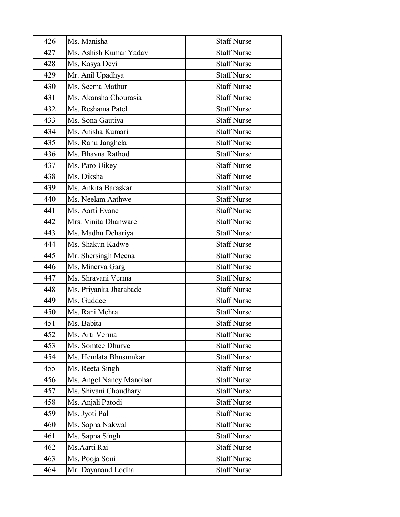| 426 | Ms. Manisha             | <b>Staff Nurse</b> |
|-----|-------------------------|--------------------|
| 427 | Ms. Ashish Kumar Yadav  | <b>Staff Nurse</b> |
| 428 | Ms. Kasya Devi          | <b>Staff Nurse</b> |
| 429 | Mr. Anil Upadhya        | <b>Staff Nurse</b> |
| 430 | Ms. Seema Mathur        | <b>Staff Nurse</b> |
| 431 | Ms. Akansha Chourasia   | <b>Staff Nurse</b> |
| 432 | Ms. Reshama Patel       | <b>Staff Nurse</b> |
| 433 | Ms. Sona Gautiya        | <b>Staff Nurse</b> |
| 434 | Ms. Anisha Kumari       | <b>Staff Nurse</b> |
| 435 | Ms. Ranu Janghela       | <b>Staff Nurse</b> |
| 436 | Ms. Bhavna Rathod       | <b>Staff Nurse</b> |
| 437 | Ms. Paro Uikey          | <b>Staff Nurse</b> |
| 438 | Ms. Diksha              | <b>Staff Nurse</b> |
| 439 | Ms. Ankita Baraskar     | <b>Staff Nurse</b> |
| 440 | Ms. Neelam Aathwe       | <b>Staff Nurse</b> |
| 441 | Ms. Aarti Evane         | <b>Staff Nurse</b> |
| 442 | Mrs. Vinita Dhanware    | <b>Staff Nurse</b> |
| 443 | Ms. Madhu Dehariya      | <b>Staff Nurse</b> |
| 444 | Ms. Shakun Kadwe        | <b>Staff Nurse</b> |
| 445 | Mr. Shersingh Meena     | <b>Staff Nurse</b> |
| 446 | Ms. Minerva Garg        | <b>Staff Nurse</b> |
| 447 | Ms. Shravani Verma      | <b>Staff Nurse</b> |
| 448 | Ms. Priyanka Jharabade  | <b>Staff Nurse</b> |
| 449 | Ms. Guddee              | <b>Staff Nurse</b> |
| 450 | Ms. Rani Mehra          | <b>Staff Nurse</b> |
| 451 | Ms. Babita              | <b>Staff Nurse</b> |
| 452 | Ms. Arti Verma          | <b>Staff Nurse</b> |
| 453 | Ms. Somtee Dhurve       | <b>Staff Nurse</b> |
| 454 | Ms. Hemlata Bhusumkar   | <b>Staff Nurse</b> |
| 455 | Ms. Reeta Singh         | <b>Staff Nurse</b> |
| 456 | Ms. Angel Nancy Manohar | <b>Staff Nurse</b> |
| 457 | Ms. Shivani Choudhary   | <b>Staff Nurse</b> |
| 458 | Ms. Anjali Patodi       | <b>Staff Nurse</b> |
| 459 | Ms. Jyoti Pal           | <b>Staff Nurse</b> |
| 460 | Ms. Sapna Nakwal        | <b>Staff Nurse</b> |
| 461 | Ms. Sapna Singh         | <b>Staff Nurse</b> |
| 462 | Ms. Aarti Rai           | <b>Staff Nurse</b> |
| 463 | Ms. Pooja Soni          | <b>Staff Nurse</b> |
| 464 | Mr. Dayanand Lodha      | <b>Staff Nurse</b> |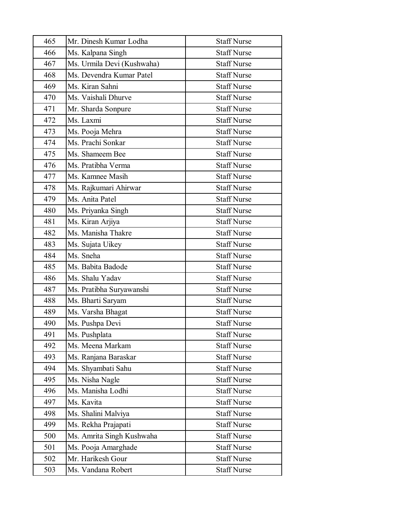| 465 | Mr. Dinesh Kumar Lodha     | <b>Staff Nurse</b> |
|-----|----------------------------|--------------------|
| 466 | Ms. Kalpana Singh          | <b>Staff Nurse</b> |
| 467 | Ms. Urmila Devi (Kushwaha) | <b>Staff Nurse</b> |
| 468 | Ms. Devendra Kumar Patel   | <b>Staff Nurse</b> |
| 469 | Ms. Kiran Sahni            | <b>Staff Nurse</b> |
| 470 | Ms. Vaishali Dhurve        | <b>Staff Nurse</b> |
| 471 | Mr. Sharda Sonpure         | <b>Staff Nurse</b> |
| 472 | Ms. Laxmi                  | <b>Staff Nurse</b> |
| 473 | Ms. Pooja Mehra            | <b>Staff Nurse</b> |
| 474 | Ms. Prachi Sonkar          | <b>Staff Nurse</b> |
| 475 | Ms. Shameem Bee            | <b>Staff Nurse</b> |
| 476 | Ms. Pratibha Verma         | <b>Staff Nurse</b> |
| 477 | Ms. Kamnee Masih           | <b>Staff Nurse</b> |
| 478 | Ms. Rajkumari Ahirwar      | <b>Staff Nurse</b> |
| 479 | Ms. Anita Patel            | <b>Staff Nurse</b> |
| 480 | Ms. Priyanka Singh         | <b>Staff Nurse</b> |
| 481 | Ms. Kiran Arjiya           | <b>Staff Nurse</b> |
| 482 | Ms. Manisha Thakre         | <b>Staff Nurse</b> |
| 483 | Ms. Sujata Uikey           | <b>Staff Nurse</b> |
| 484 | Ms. Sneha                  | <b>Staff Nurse</b> |
| 485 | Ms. Babita Badode          | <b>Staff Nurse</b> |
| 486 | Ms. Shalu Yadav            | <b>Staff Nurse</b> |
| 487 | Ms. Pratibha Suryawanshi   | <b>Staff Nurse</b> |
| 488 | Ms. Bharti Saryam          | <b>Staff Nurse</b> |
| 489 | Ms. Varsha Bhagat          | <b>Staff Nurse</b> |
| 490 | Ms. Pushpa Devi            | <b>Staff Nurse</b> |
| 491 | Ms. Pushplata              | <b>Staff Nurse</b> |
| 492 | Ms. Meena Markam           | <b>Staff Nurse</b> |
| 493 | Ms. Ranjana Baraskar       | <b>Staff Nurse</b> |
| 494 | Ms. Shyambati Sahu         | <b>Staff Nurse</b> |
| 495 | Ms. Nisha Nagle            | <b>Staff Nurse</b> |
| 496 | Ms. Manisha Lodhi          | <b>Staff Nurse</b> |
| 497 | Ms. Kavita                 | <b>Staff Nurse</b> |
| 498 | Ms. Shalini Malviya        | <b>Staff Nurse</b> |
| 499 | Ms. Rekha Prajapati        | <b>Staff Nurse</b> |
| 500 | Ms. Amrita Singh Kushwaha  | <b>Staff Nurse</b> |
| 501 | Ms. Pooja Amarghade        | <b>Staff Nurse</b> |
| 502 | Mr. Harikesh Gour          | <b>Staff Nurse</b> |
| 503 | Ms. Vandana Robert         | <b>Staff Nurse</b> |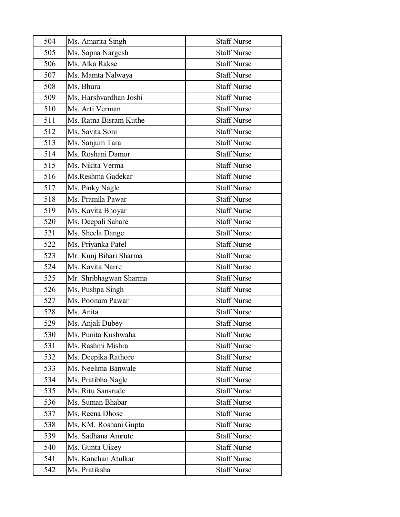| 504 | Ms. Amarita Singh      | <b>Staff Nurse</b> |
|-----|------------------------|--------------------|
| 505 | Ms. Sapna Nargesh      | <b>Staff Nurse</b> |
| 506 | Ms. Alka Rakse         | <b>Staff Nurse</b> |
| 507 | Ms. Mamta Nalwaya      | <b>Staff Nurse</b> |
| 508 | Ms. Bhura              | <b>Staff Nurse</b> |
| 509 | Ms. Harshvardhan Joshi | <b>Staff Nurse</b> |
| 510 | Ms. Arti Verman        | <b>Staff Nurse</b> |
| 511 | Ms. Ratna Bisram Kuthe | <b>Staff Nurse</b> |
| 512 | Ms. Savita Soni        | <b>Staff Nurse</b> |
| 513 | Ms. Sanjum Tara        | <b>Staff Nurse</b> |
| 514 | Ms. Roshani Damor      | <b>Staff Nurse</b> |
| 515 | Ms. Nikita Verma       | <b>Staff Nurse</b> |
| 516 | Ms.Reshma Gadekar      | <b>Staff Nurse</b> |
| 517 | Ms. Pinky Nagle        | <b>Staff Nurse</b> |
| 518 | Ms. Pramila Pawar      | <b>Staff Nurse</b> |
| 519 | Ms. Kavita Bhoyar      | <b>Staff Nurse</b> |
| 520 | Ms. Deepali Sahare     | <b>Staff Nurse</b> |
| 521 | Ms. Sheela Dange       | <b>Staff Nurse</b> |
| 522 | Ms. Priyanka Patel     | <b>Staff Nurse</b> |
| 523 | Mr. Kunj Bihari Sharma | <b>Staff Nurse</b> |
| 524 | Ms. Kavita Narre       | <b>Staff Nurse</b> |
| 525 | Mr. Shribhagwan Sharma | <b>Staff Nurse</b> |
| 526 | Ms. Pushpa Singh       | <b>Staff Nurse</b> |
| 527 | Ms. Poonam Pawar       | <b>Staff Nurse</b> |
| 528 | Ms. Anita              | <b>Staff Nurse</b> |
| 529 | Ms. Anjali Dubey       | <b>Staff Nurse</b> |
| 530 | Ms. Punita Kushwaha    | <b>Staff Nurse</b> |
| 531 | Ms. Rashmi Mishra      | <b>Staff Nurse</b> |
| 532 | Ms. Deepika Rathore    | <b>Staff Nurse</b> |
| 533 | Ms. Neelima Banwale    | <b>Staff Nurse</b> |
| 534 | Ms. Pratibha Nagle     | <b>Staff Nurse</b> |
| 535 | Ms. Ritu Sansrude      | <b>Staff Nurse</b> |
| 536 | Ms. Suman Bhabar       | <b>Staff Nurse</b> |
| 537 | Ms. Reena Dhose        | <b>Staff Nurse</b> |
| 538 | Ms. KM. Roshani Gupta  | <b>Staff Nurse</b> |
| 539 | Ms. Sadhana Amrute     | <b>Staff Nurse</b> |
| 540 | Ms. Gunta Uikey        | <b>Staff Nurse</b> |
| 541 | Ms. Kanchan Atulkar    | <b>Staff Nurse</b> |
| 542 | Ms. Pratiksha          | <b>Staff Nurse</b> |